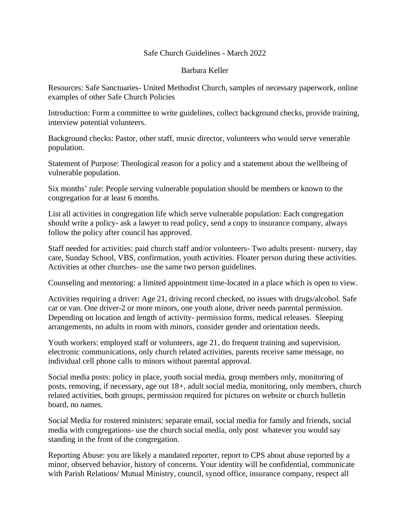## Safe Church Guidelines - March 2022

## Barbara Keller

Resources: Safe Sanctuaries- United Methodist Church, samples of necessary paperwork, online examples of other Safe Church Policies

Introduction: Form a committee to write guidelines, collect background checks, provide training, interview potential volunteers.

Background checks: Pastor, other staff, music director, volunteers who would serve venerable population.

Statement of Purpose: Theological reason for a policy and a statement about the wellbeing of vulnerable population.

Six months' rule: People serving vulnerable population should be members or known to the congregation for at least 6 months.

List all activities in congregation life which serve vulnerable population: Each congregation should write a policy- ask a lawyer to read policy, send a copy to insurance company, always follow the policy after council has approved.

Staff needed for activities: paid church staff and/or volunteers- Two adults present- nursery, day care, Sunday School, VBS, confirmation, youth activities. Floater person during these activities. Activities at other churches- use the same two person guidelines.

Counseling and mentoring: a limited appointment time-located in a place which is open to view.

Activities requiring a driver: Age 21, driving record checked, no issues with drugs/alcohol. Safe car or van. One driver-2 or more minors, one youth alone, driver needs parental permission. Depending on location and length of activity- permission forms, medical releases. Sleeping arrangements, no adults in room with minors, consider gender and orientation needs.

Youth workers: employed staff or volunteers, age 21, do frequent training and supervision, electronic communications, only church related activities, parents receive same message, no individual cell phone calls to minors without parental approval.

Social media posts: policy in place, youth social media, group members only, monitoring of posts, removing, if necessary, age out 18+, adult social media, monitoring, only members, church related activities, both groups, permission required for pictures on website or church bulletin board, no names.

Social Media for rostered ministers: separate email, social media for family and friends, social media with congregations- use the church social media, only post whatever you would say standing in the front of the congregation.

Reporting Abuse: you are likely a mandated reporter, report to CPS about abuse reported by a minor, observed behavior, history of concerns. Your identity will be confidential, communicate with Parish Relations/ Mutual Ministry, council, synod office, insurance company, respect all